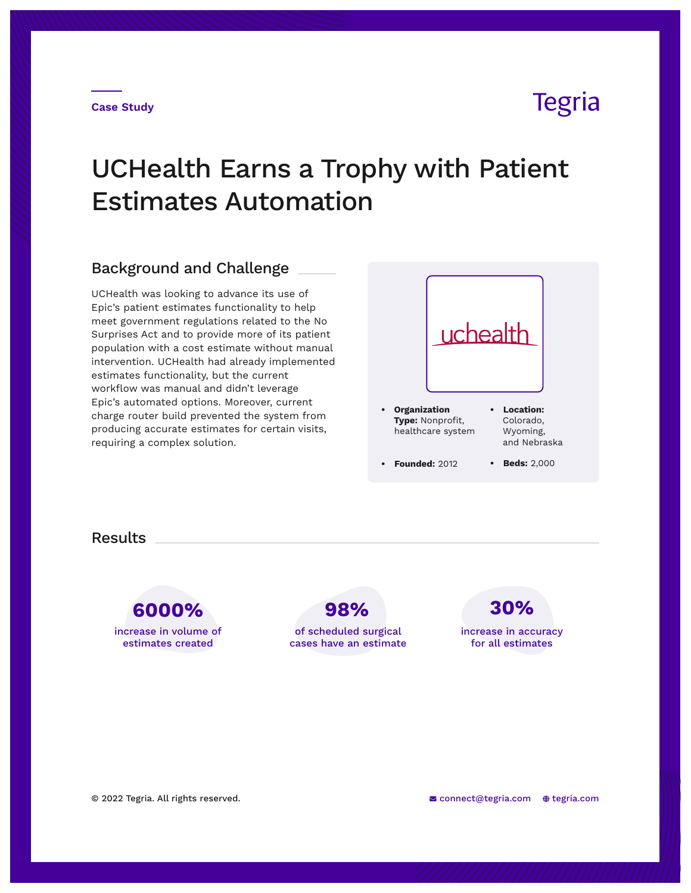## **Tegria**

# UCHealth Earns a Trophy with Patient Estimates Automation

### Background and Challenge

UCHealth was looking to advance its use of Epic's patient estimates functionality to help meet government regulations related to the No Surprises Act and to provide more of its patient population with a cost estimate without manual intervention. UCHealth had already implemented estimates functionality, but the current workflow was manual and didn't leverage Epic's automated options. Moreover, current charge router build prevented the system from producing accurate estimates for certain visits, requiring a complex solution.



**Results** 

**6000% 98% 30%** increase in volume of estimates created

of scheduled surgical cases have an estimate increase in accuracy for all estimates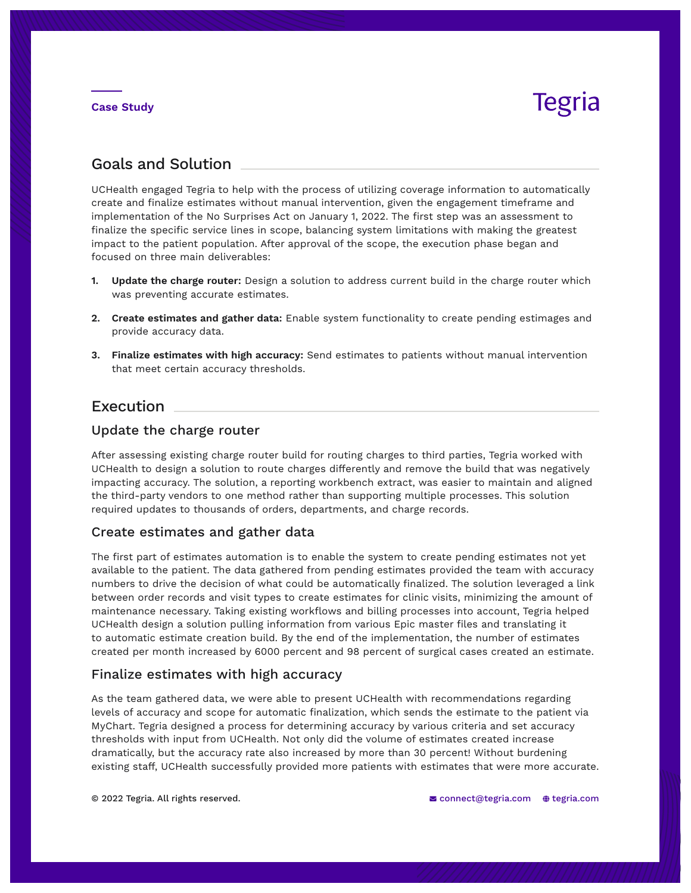#### **Case Study**

# Tegria

### Goals and Solution

UCHealth engaged Tegria to help with the process of utilizing coverage information to automatically create and finalize estimates without manual intervention, given the engagement timeframe and implementation of the No Surprises Act on January 1, 2022. The first step was an assessment to finalize the specific service lines in scope, balancing system limitations with making the greatest impact to the patient population. After approval of the scope, the execution phase began and focused on three main deliverables:

- **1. Update the charge router:** Design a solution to address current build in the charge router which was preventing accurate estimates.
- **2. Create estimates and gather data:** Enable system functionality to create pending estimages and provide accuracy data.
- **3. Finalize estimates with high accuracy:** Send estimates to patients without manual intervention that meet certain accuracy thresholds.

### Execution

#### Update the charge router

After assessing existing charge router build for routing charges to third parties, Tegria worked with UCHealth to design a solution to route charges differently and remove the build that was negatively impacting accuracy. The solution, a reporting workbench extract, was easier to maintain and aligned the third-party vendors to one method rather than supporting multiple processes. This solution required updates to thousands of orders, departments, and charge records.

#### Create estimates and gather data

The first part of estimates automation is to enable the system to create pending estimates not yet available to the patient. The data gathered from pending estimates provided the team with accuracy numbers to drive the decision of what could be automatically finalized. The solution leveraged a link between order records and visit types to create estimates for clinic visits, minimizing the amount of maintenance necessary. Taking existing workflows and billing processes into account, Tegria helped UCHealth design a solution pulling information from various Epic master files and translating it to automatic estimate creation build. By the end of the implementation, the number of estimates created per month increased by 6000 percent and 98 percent of surgical cases created an estimate.

#### Finalize estimates with high accuracy

As the team gathered data, we were able to present UCHealth with recommendations regarding levels of accuracy and scope for automatic finalization, which sends the estimate to the patient via MyChart. Tegria designed a process for determining accuracy by various criteria and set accuracy thresholds with input from UCHealth. Not only did the volume of estimates created increase dramatically, but the accuracy rate also increased by more than 30 percent! Without burdening existing staff, UCHealth successfully provided more patients with estimates that were more accurate.